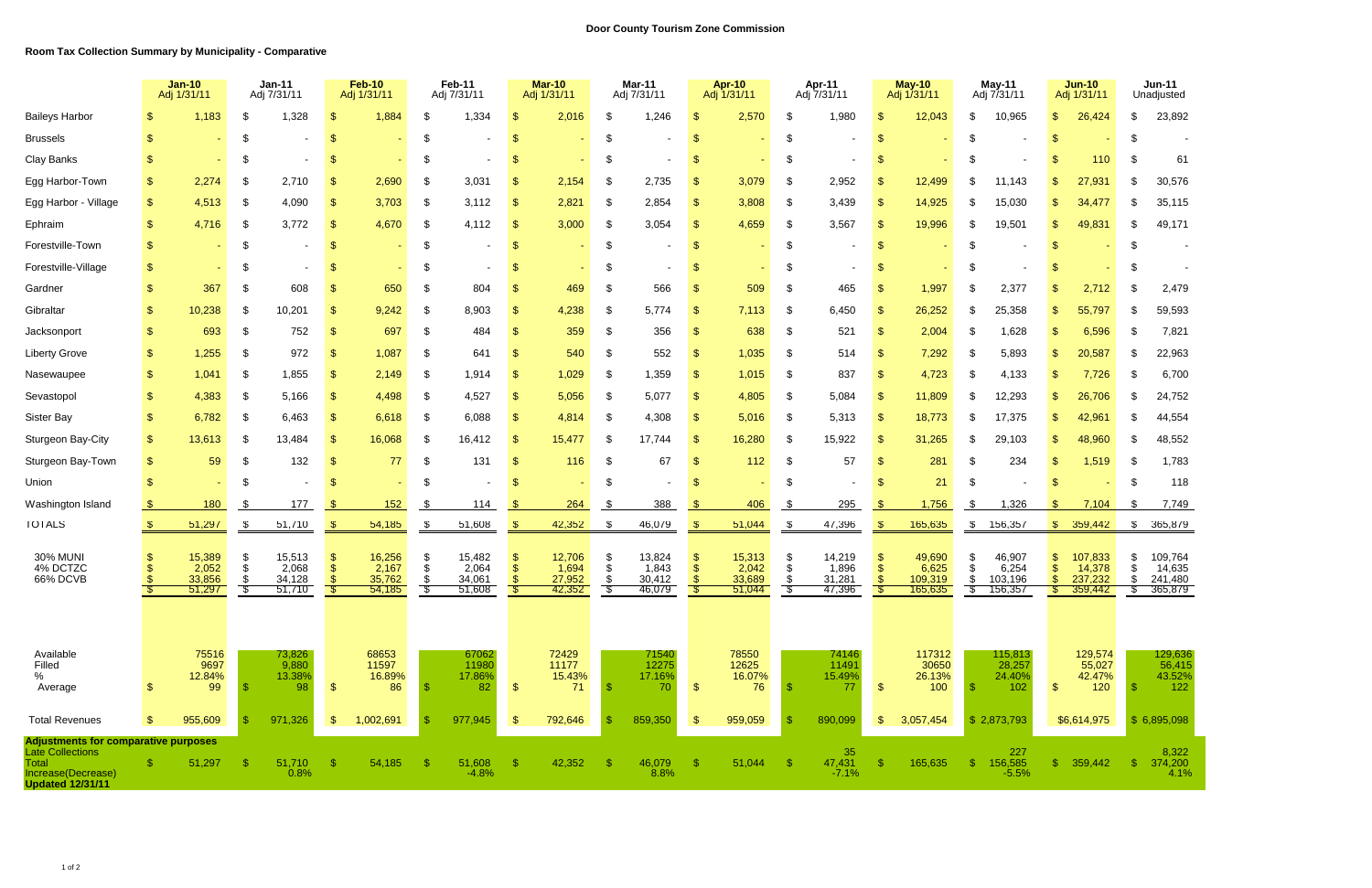|                                                                                                                                         |                | <b>Jan-10</b><br>Adj 1/31/11        |                                  | <b>Jan-11</b><br>Adj 7/31/11        |               | <b>Feb-10</b><br>Adj 1/31/11        |           | Feb-11<br>Adj 7/31/11               |               | <b>Mar-10</b><br>Adj 1/31/11        |          | <b>Mar-11</b><br>Adj 7/31/11        |               | <b>Apr-10</b><br>Adj 1/31/11        |          | Apr-11<br>Adj 7/31/11               |               | <b>May-10</b><br>Adj 1/31/11          |               | May-11<br>Adj 7/31/11                 |    | <b>Jun-10</b><br>Adj 1/31/11            | <b>Jun-11</b><br>Unadjusted |                                         |  |
|-----------------------------------------------------------------------------------------------------------------------------------------|----------------|-------------------------------------|----------------------------------|-------------------------------------|---------------|-------------------------------------|-----------|-------------------------------------|---------------|-------------------------------------|----------|-------------------------------------|---------------|-------------------------------------|----------|-------------------------------------|---------------|---------------------------------------|---------------|---------------------------------------|----|-----------------------------------------|-----------------------------|-----------------------------------------|--|
| <b>Baileys Harbor</b>                                                                                                                   |                | 1,183                               | S                                | 1,328                               |               | 1,884                               |           | 1,334                               |               | 2,016                               |          | 1,246                               |               | 2,570                               |          | 1,980                               |               | 12,043                                | \$.           | 10,965                                |    | 26,424                                  |                             | 23,892                                  |  |
| <b>Brussels</b>                                                                                                                         |                |                                     | -\$                              |                                     |               |                                     | \$.       |                                     |               |                                     |          |                                     | -\$           |                                     | -\$      |                                     | -\$           |                                       | \$            |                                       |    |                                         |                             |                                         |  |
| Clay Banks                                                                                                                              |                |                                     | ß.                               |                                     |               |                                     |           |                                     |               |                                     |          |                                     |               |                                     |          |                                     |               |                                       | S             |                                       |    | 110                                     |                             | 61                                      |  |
| Egg Harbor-Town                                                                                                                         | \$.            | 2,274                               | \$                               | 2,710                               |               | 2,690                               |           | 3,031                               |               | 2,154                               |          | 2,735                               |               | 3,079                               |          | 2,952                               |               | 12,499                                | \$            | 11,143                                |    | 27,931                                  |                             | 30,576                                  |  |
| Egg Harbor - Village                                                                                                                    | \$             | 4,513                               | \$                               | 4,090                               | -\$           | 3,703                               | -\$       | 3,112                               | -S            | 2,821                               | -\$      | 2,854                               | -\$           | 3,808                               | - \$     | 3,439                               | -\$           | 14,925                                | \$            | 15,030                                |    | 34,477                                  |                             | 35,115                                  |  |
| Ephraim                                                                                                                                 | $\mathbf{\$}$  | 4,716                               | \$                               | 3,772                               | -\$           | 4,670                               | -\$       | 4,112                               |               | 3,000                               | -\$      | 3,054                               | -\$           | 4,659                               |          | 3,567                               | -\$           | 19,996                                | \$            | 19,501                                |    | 49,831                                  |                             | 49,171                                  |  |
| Forestville-Town                                                                                                                        |                |                                     | -\$                              |                                     |               |                                     | -\$       |                                     |               |                                     |          |                                     | -\$           |                                     |          |                                     | -\$           |                                       | \$            |                                       |    |                                         |                             |                                         |  |
| Forestville-Village                                                                                                                     |                |                                     |                                  |                                     |               |                                     |           |                                     |               |                                     |          |                                     |               |                                     |          |                                     |               |                                       | S             |                                       |    |                                         |                             |                                         |  |
| Gardner                                                                                                                                 |                | 367                                 | -\$                              | 608                                 |               | 650                                 | - \$      | 804                                 |               | 469                                 |          | 566                                 |               | 509                                 |          | 465                                 |               | 1,997                                 | \$            | 2,377                                 |    | 2,712                                   |                             | 2,479                                   |  |
| Gibraltar                                                                                                                               |                | 10,238                              | \$                               | 10,201                              | -S            | 9,242                               | - \$      | 8,903                               |               | 4,238                               | - \$     | 5,774                               | \$            | 7,113                               | -\$      | 6,450                               | - \$          | 26,252                                | \$            | 25,358                                |    | 55,797                                  |                             | 59,593                                  |  |
| Jacksonport                                                                                                                             |                | 693                                 | \$                               | 752                                 | -\$           | 697                                 | -\$       | 484                                 | - \$          | 359                                 | -\$      | 356                                 | -\$           | 638                                 | -\$      | 521                                 | -\$           | 2,004                                 | \$            | 1,628                                 |    | 6,596                                   |                             | 7,821                                   |  |
| <b>Liberty Grove</b>                                                                                                                    | \$             | 1,255                               | \$                               | 972                                 | -\$           | 1,087                               | - \$      | 641                                 |               | 540                                 | -\$      | 552                                 | -\$           | 1,035                               | -\$      | 514                                 | - \$          | 7,292                                 | \$            | 5,893                                 |    | 20,587                                  |                             | 22,963                                  |  |
| Nasewaupee                                                                                                                              | \$.            | 1,041                               | \$                               | 1,855                               | -S            | 2,149                               | - \$      | 1,914                               |               | 1,029                               | -\$      | 1,359                               |               | 1,015                               | -\$      | 837                                 | -\$           | 4,723                                 | \$            | 4,133                                 |    | 7,726                                   |                             | 6,700                                   |  |
| Sevastopol                                                                                                                              | \$.            | 4,383                               | -\$                              | 5,166                               |               | 4,498                               | - \$      | 4,527                               |               | 5,056                               | - \$     | 5,077                               |               | 4,805                               |          | 5,084                               |               | 11,809                                | \$            | 12,293                                |    | 26,706                                  |                             | 24,752                                  |  |
| Sister Bay                                                                                                                              | \$.            | 6,782                               | \$                               | 6,463                               | -\$           | 6,618                               | -\$       | 6,088                               |               | 4,814                               |          | 4,308                               | S             | 5,016                               | - \$     | 5,313                               | - \$          | 18,773                                | \$            | 17,375                                |    | 42,961                                  |                             | 44,554                                  |  |
| Sturgeon Bay-City                                                                                                                       | $\mathfrak{L}$ | 13,613                              | \$                               | 13,484                              | -\$           | 16,068                              | - \$      | 16,412                              | \$.           | 15,477                              |          | 17,744                              | S             | 16,280                              |          | 15,922                              | - \$          | 31,265                                | \$            | 29,103                                |    | 48,960                                  |                             | 48,552                                  |  |
| Sturgeon Bay-Town                                                                                                                       | \$             | 59                                  | - \$                             | 132                                 | -\$           | 77                                  | - \$      | 131                                 |               | 116                                 |          | 67                                  |               | 112                                 |          | 57                                  | -\$           | 281                                   | \$            | 234                                   |    | 1,519                                   |                             | 1,783                                   |  |
| Union                                                                                                                                   |                |                                     | \$                               |                                     |               |                                     | -\$       |                                     |               |                                     | \$       |                                     |               |                                     | -\$      |                                     | -\$           | 21                                    | \$            |                                       |    |                                         |                             | 118                                     |  |
| Washington Island                                                                                                                       |                | 180                                 | - 35                             | 177                                 |               | 152                                 | S         | 114                                 |               | 264                                 |          | 388                                 | - \$          | 406                                 | - \$     | 295                                 |               | 1,756                                 |               | 1,326                                 |    | 7,104                                   |                             | 7,749                                   |  |
| <b>TOTALS</b>                                                                                                                           |                | 51,297                              | \$                               | 51,710                              | - \$          | 54,185                              | - \$      | 51,608                              | - \$          | 42,352                              | \$       | 46,079                              | - \$          | 51,044                              | S.       | 47,396                              | - \$          | 165,635                               | \$            | 156,357                               |    | \$359,442                               | \$                          | 365,879                                 |  |
| <b>30% MUNI</b><br>4% DCTZC<br>66% DCVB                                                                                                 |                | 15,389<br>2,052<br>33,856<br>51,297 | $\boldsymbol{\mathsf{S}}$<br>-\$ | 15,513<br>2,068<br>34,128<br>51,710 | \$<br>- \$    | 16,256<br>2,167<br>35,762<br>54,185 | \$<br>-\$ | 15,482<br>2,064<br>34,061<br>51,608 | - \$          | 12,706<br>1,694<br>27,952<br>42,352 | -S<br>-S | 13,824<br>1,843<br>30,412<br>46,079 | \$.           | 15,313<br>2,042<br>33,689<br>51,044 | \$<br>S. | 14,219<br>1,896<br>31,281<br>47,396 | S<br>- \$     | 49,690<br>6,625<br>109,319<br>165,635 | \$<br>¢<br>S. | 46,907<br>6,254<br>103,196<br>156,357 |    | 107,833<br>14,378<br>237,232<br>359,442 | S.                          | 109,764<br>14,635<br>241,480<br>365,879 |  |
| Available<br>Filled<br>%<br>Average                                                                                                     |                | 75516<br>9697<br>12.84%<br>99       |                                  | 73,826<br>9,880<br>13.38%<br>98     | \$            | 68653<br>11597<br>16.89%<br>86      | - 9       | 67062<br>11980<br>17.86%<br>82      | $\mathbf{\$}$ | 72429<br>11177<br>15.43%<br>71      | - \$     | 71540<br>12275<br>17.16%<br>70      | $\frac{1}{2}$ | 78550<br>12625<br>16.07%<br>76      |          | 74146<br>11491<br>15.49%<br>-77     | -\$           | 117312<br>30650<br>26.13%<br>100      | SS.           | 115,813<br>28,257<br>24.40%<br>102    | -S | 129,574<br>55,027<br>42.47%<br>120      |                             | 129,636<br>56,415<br>43.52%<br>122      |  |
| <b>Total Revenues</b>                                                                                                                   |                | 955,609                             | - \$                             | 971,326                             | \$            | 1,002,691                           | -\$       | 977,945                             | $\sqrt[6]{3}$ | 792,646                             |          | 859,350                             | -\$           | 959,059                             |          | 890,099                             | $\mathbf{\$}$ | 3,057,454                             |               | \$2,873,793                           |    | \$6,614,975                             |                             | \$6,895,098                             |  |
| <b>Adjustments for comparative purposes</b><br><b>Late Collections</b><br><b>Total</b><br>Increase(Decrease)<br><b>Updated 12/31/11</b> | -S             | 51,297                              | -\$                              | 51,710<br>0.8%                      | $\mathcal{S}$ | 54,185                              | - \$      | 51,608<br>$-4.8%$                   | -\$           | 42,352                              | -\$      | 46,079<br>8.8%                      | $\sqrt{3}$    | 51,044                              | - \$     | 35<br>47,431<br>$-7.1%$             | -\$           | 165,635                               | -S            | 227<br>156,585<br>$-5.5%$             |    | \$359,442                               | -\$                         | 8,322<br>374,200<br>4.1%                |  |

## **Room Tax Collection Summary by Municipality - Comparative**